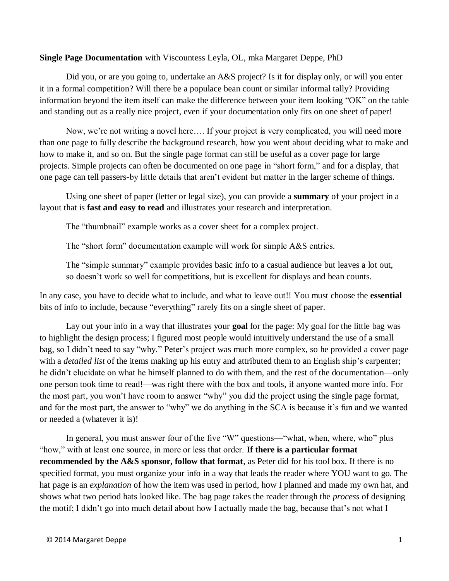### **Single Page Documentation** with Viscountess Leyla, OL, mka Margaret Deppe, PhD

Did you, or are you going to, undertake an A&S project? Is it for display only, or will you enter it in a formal competition? Will there be a populace bean count or similar informal tally? Providing information beyond the item itself can make the difference between your item looking "OK" on the table and standing out as a really nice project, even if your documentation only fits on one sheet of paper!

Now, we're not writing a novel here…. If your project is very complicated, you will need more than one page to fully describe the background research, how you went about deciding what to make and how to make it, and so on. But the single page format can still be useful as a cover page for large projects. Simple projects can often be documented on one page in "short form," and for a display, that one page can tell passers-by little details that aren't evident but matter in the larger scheme of things.

Using one sheet of paper (letter or legal size), you can provide a **summary** of your project in a layout that is **fast and easy to read** and illustrates your research and interpretation.

The "thumbnail" example works as a cover sheet for a complex project.

The "short form" documentation example will work for simple A&S entries.

The "simple summary" example provides basic info to a casual audience but leaves a lot out, so doesn't work so well for competitions, but is excellent for displays and bean counts.

In any case, you have to decide what to include, and what to leave out!! You must choose the **essential** bits of info to include, because "everything" rarely fits on a single sheet of paper.

Lay out your info in a way that illustrates your **goal** for the page: My goal for the little bag was to highlight the design process; I figured most people would intuitively understand the use of a small bag, so I didn't need to say "why." Peter's project was much more complex, so he provided a cover page with a *detailed list* of the items making up his entry and attributed them to an English ship's carpenter; he didn't elucidate on what he himself planned to do with them, and the rest of the documentation—only one person took time to read!—was right there with the box and tools, if anyone wanted more info. For the most part, you won't have room to answer "why" you did the project using the single page format, and for the most part, the answer to "why" we do anything in the SCA is because it's fun and we wanted or needed a (whatever it is)!

In general, you must answer four of the five "W" questions—"what, when, where, who" plus "how," with at least one source, in more or less that order. **If there is a particular format recommended by the A&S sponsor, follow that format**, as Peter did for his tool box. If there is no specified format, you must organize your info in a way that leads the reader where YOU want to go. The hat page is an *explanation* of how the item was used in period, how I planned and made my own hat, and shows what two period hats looked like. The bag page takes the reader through the *process* of designing the motif; I didn't go into much detail about how I actually made the bag, because that's not what I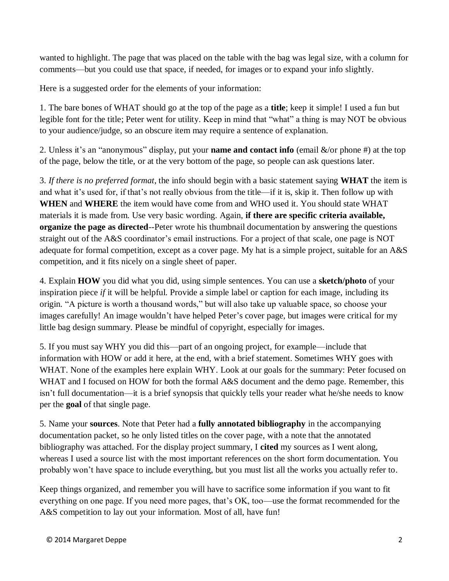wanted to highlight. The page that was placed on the table with the bag was legal size, with a column for comments—but you could use that space, if needed, for images or to expand your info slightly.

Here is a suggested order for the elements of your information:

1. The bare bones of WHAT should go at the top of the page as a **title**; keep it simple! I used a fun but legible font for the title; Peter went for utility. Keep in mind that "what" a thing is may NOT be obvious to your audience/judge, so an obscure item may require a sentence of explanation.

2. Unless it's an "anonymous" display, put your **name and contact info** (email &/or phone #) at the top of the page, below the title, or at the very bottom of the page, so people can ask questions later.

3. *If there is no preferred format*, the info should begin with a basic statement saying **WHAT** the item is and what it's used for, if that's not really obvious from the title—if it is, skip it. Then follow up with **WHEN** and **WHERE** the item would have come from and WHO used it. You should state WHAT materials it is made from. Use very basic wording. Again, **if there are specific criteria available, organize the page as directed**--Peter wrote his thumbnail documentation by answering the questions straight out of the A&S coordinator's email instructions. For a project of that scale, one page is NOT adequate for formal competition, except as a cover page. My hat is a simple project, suitable for an A&S competition, and it fits nicely on a single sheet of paper.

4. Explain **HOW** you did what you did, using simple sentences. You can use a **sketch/photo** of your inspiration piece *if* it will be helpful. Provide a simple label or caption for each image, including its origin. "A picture is worth a thousand words," but will also take up valuable space, so choose your images carefully! An image wouldn't have helped Peter's cover page, but images were critical for my little bag design summary. Please be mindful of copyright, especially for images.

5. If you must say WHY you did this—part of an ongoing project, for example—include that information with HOW or add it here, at the end, with a brief statement. Sometimes WHY goes with WHAT. None of the examples here explain WHY. Look at our goals for the summary: Peter focused on WHAT and I focused on HOW for both the formal A&S document and the demo page. Remember, this isn't full documentation—it is a brief synopsis that quickly tells your reader what he/she needs to know per the **goal** of that single page.

5. Name your **sources**. Note that Peter had a **fully annotated bibliography** in the accompanying documentation packet, so he only listed titles on the cover page, with a note that the annotated bibliography was attached. For the display project summary, I **cited** my sources as I went along, whereas I used a source list with the most important references on the short form documentation. You probably won't have space to include everything, but you must list all the works you actually refer to.

Keep things organized, and remember you will have to sacrifice some information if you want to fit everything on one page. If you need more pages, that's OK, too—use the format recommended for the A&S competition to lay out your information. Most of all, have fun!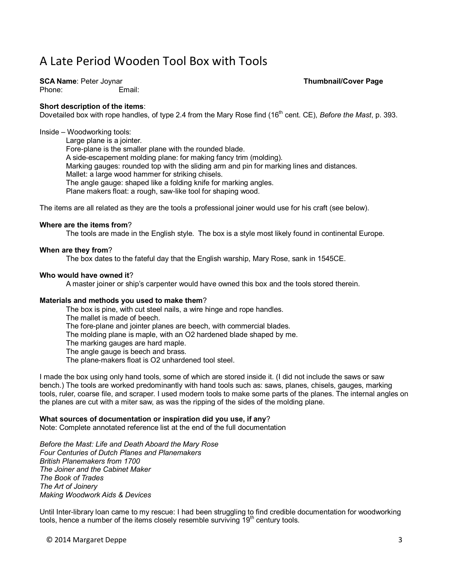# A Late Period Wooden Tool Box with Tools

**SCA Name**: Peter Joynar **Thumbnail/Cover Page**

Phone: Email:

### **Short description of the items**:

Dovetailed box with rope handles, of type 2.4 from the Mary Rose find (16<sup>th</sup> cent. CE), *Before the Mast*, p. 393.

Inside – Woodworking tools:

Large plane is a jointer. Fore-plane is the smaller plane with the rounded blade. A side-escapement molding plane: for making fancy trim (molding). Marking gauges: rounded top with the sliding arm and pin for marking lines and distances. Mallet: a large wood hammer for striking chisels. The angle gauge: shaped like a folding knife for marking angles. Plane makers float: a rough, saw-like tool for shaping wood.

The items are all related as they are the tools a professional joiner would use for his craft (see below).

### **Where are the items from**?

The tools are made in the English style. The box is a style most likely found in continental Europe.

### **When are they from**?

The box dates to the fateful day that the English warship, Mary Rose, sank in 1545CE.

### **Who would have owned it**?

A master joiner or ship's carpenter would have owned this box and the tools stored therein.

### **Materials and methods you used to make them**?

The box is pine, with cut steel nails, a wire hinge and rope handles.

The mallet is made of beech.

The fore-plane and jointer planes are beech, with commercial blades.

The molding plane is maple, with an O2 hardened blade shaped by me.

The marking gauges are hard maple.

The angle gauge is beech and brass.

The plane-makers float is O2 unhardened tool steel.

I made the box using only hand tools, some of which are stored inside it. (I did not include the saws or saw bench.) The tools are worked predominantly with hand tools such as: saws, planes, chisels, gauges, marking tools, ruler, coarse file, and scraper. I used modern tools to make some parts of the planes. The internal angles on the planes are cut with a miter saw, as was the ripping of the sides of the molding plane.

### **What sources of documentation or inspiration did you use, if any**?

Note: Complete annotated reference list at the end of the full documentation

*Before the Mast: Life and Death Aboard the Mary Rose Four Centuries of Dutch Planes and Planemakers British Planemakers from 1700 The Joiner and the Cabinet Maker The Book of Trades The Art of Joinery Making Woodwork Aids & Devices*

Until Inter-library loan came to my rescue: I had been struggling to find credible documentation for woodworking tools, hence a number of the items closely resemble surviving  $19<sup>th</sup>$  century tools.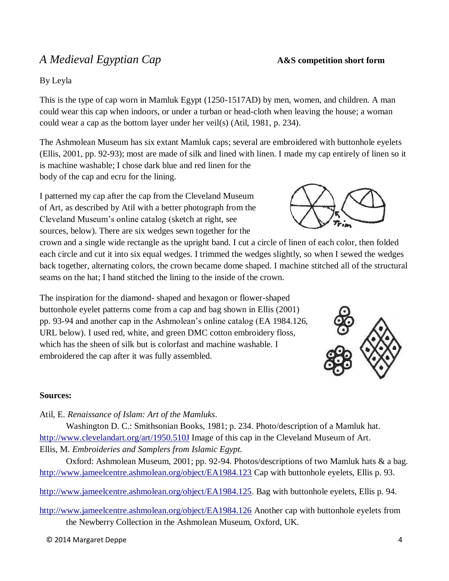## *A Medieval Egyptian Cap* **A&S** competition short form

## By Leyla

This is the type of cap worn in Mamluk Egypt (1250-1517AD) by men, women, and children. A man could wear this cap when indoors, or under a turban or head-cloth when leaving the house; a woman could wear a cap as the bottom layer under her veil(s) (Atil, 1981, p. 234).

The Ashmolean Museum has six extant Mamluk caps; several are embroidered with buttonhole eyelets (Ellis, 2001, pp. 92-93); most are made of silk and lined with linen. I made my cap entirely of linen so it is machine washable; I chose dark blue and red linen for the body of the cap and ecru for the lining.

I patterned my cap after the cap from the Cleveland Museum of Art, as described by Atil with a better photograph from the Cleveland Museum's online catalog (sketch at right, see sources, below). There are six wedges sewn together for the

crown and a single wide rectangle as the upright band. I cut a circle of linen of each color, then folded each circle and cut it into six equal wedges. I trimmed the wedges slightly, so when I sewed the wedges back together, alternating colors, the crown became dome shaped. I machine stitched all of the structural seams on the hat; I hand stitched the lining to the inside of the crown.

The inspiration for the diamond- shaped and hexagon or flower-shaped buttonhole eyelet patterns come from a cap and bag shown in Ellis (2001) pp. 93-94 and another cap in the Ashmolean's online catalog (EA 1984.126, URL below). I used red, white, and green DMC cotton embroidery floss, which has the sheen of silk but is colorfast and machine washable. I embroidered the cap after it was fully assembled.

### **Sources:**

Atil, E. *Renaissance of Islam: Art of the Mamluks*.

Washington D. C.: Smithsonian Books, 1981; p. 234. Photo/description of a Mamluk hat. <http://www.clevelandart.org/art/1950.510J> Image of this cap in the Cleveland Museum of Art. Ellis, M. *Embroideries and Samplers from Islamic Egypt.*

Oxford: Ashmolean Museum, 2001; pp. 92-94. Photos/descriptions of two Mamluk hats & a bag. <http://www.jameelcentre.ashmolean.org/object/EA1984.123> Cap with buttonhole eyelets, Ellis p. 93.

[http://www.jameelcentre.ashmolean.org/object/EA1984.125.](http://www.jameelcentre.ashmolean.org/object/EA1984.125) Bag with buttonhole eyelets, Ellis p. 94.

<http://www.jameelcentre.ashmolean.org/object/EA1984.126> Another cap with buttonhole eyelets from the Newberry Collection in the Ashmolean Museum, Oxford, UK.